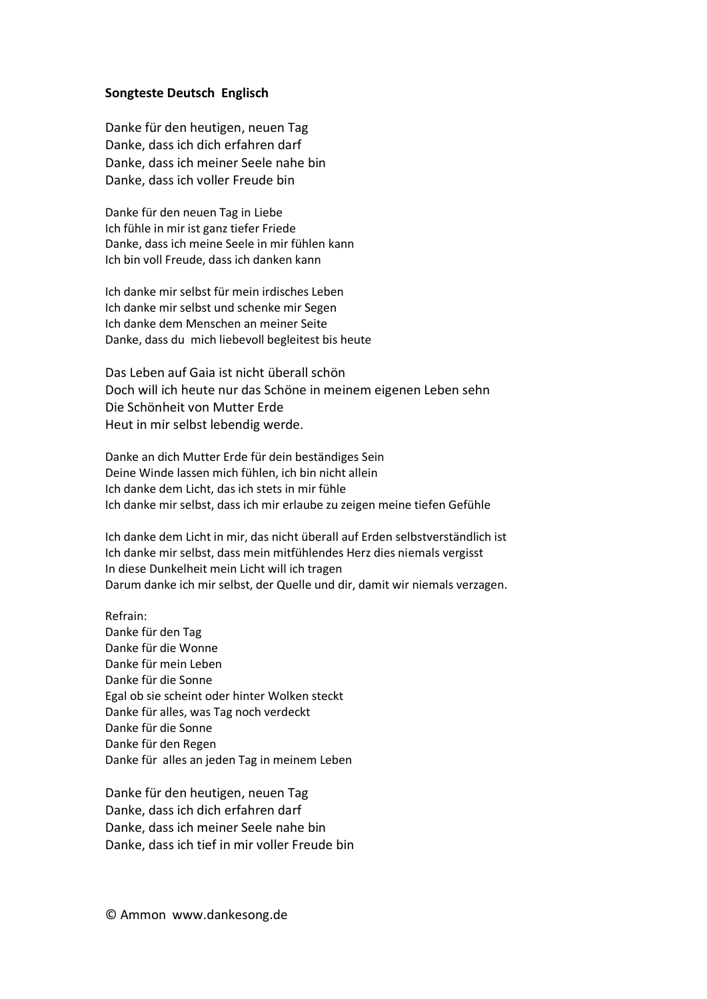## **Songteste Deutsch Englisch**

Danke für den heutigen, neuen Tag Danke, dass ich dich erfahren darf Danke, dass ich meiner Seele nahe bin Danke, dass ich voller Freude bin

Danke für den neuen Tag in Liebe Ich fühle in mir ist ganz tiefer Friede Danke, dass ich meine Seele in mir fühlen kann Ich bin voll Freude, dass ich danken kann

Ich danke mir selbst für mein irdisches Leben Ich danke mir selbst und schenke mir Segen Ich danke dem Menschen an meiner Seite Danke, dass du mich liebevoll begleitest bis heute

Das Leben auf Gaia ist nicht überall schön Doch will ich heute nur das Schöne in meinem eigenen Leben sehn Die Schönheit von Mutter Erde Heut in mir selbst lebendig werde.

Danke an dich Mutter Erde für dein beständiges Sein Deine Winde lassen mich fühlen, ich bin nicht allein Ich danke dem Licht, das ich stets in mir fühle Ich danke mir selbst, dass ich mir erlaube zu zeigen meine tiefen Gefühle

Ich danke dem Licht in mir, das nicht überall auf Erden selbstverständlich ist Ich danke mir selbst, dass mein mitfühlendes Herz dies niemals vergisst In diese Dunkelheit mein Licht will ich tragen Darum danke ich mir selbst, der Quelle und dir, damit wir niemals verzagen.

Refrain: Danke für den Tag Danke für die Wonne Danke für mein Leben Danke für die Sonne Egal ob sie scheint oder hinter Wolken steckt Danke für alles, was Tag noch verdeckt Danke für die Sonne Danke für den Regen Danke für alles an jeden Tag in meinem Leben

Danke für den heutigen, neuen Tag Danke, dass ich dich erfahren darf Danke, dass ich meiner Seele nahe bin Danke, dass ich tief in mir voller Freude bin